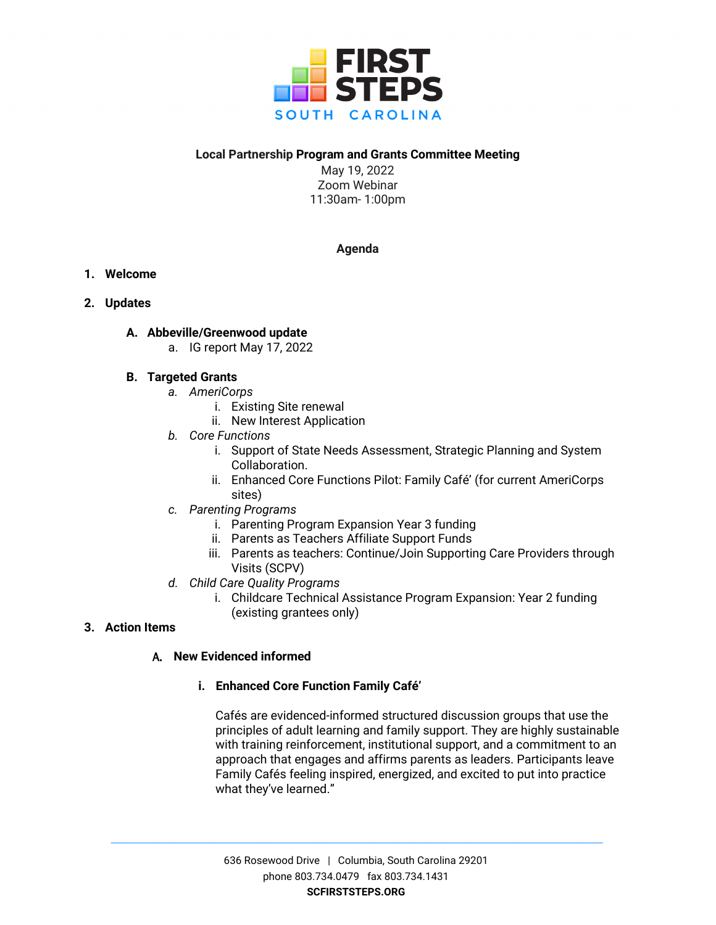

# **Local Partnership Program and Grants Committee Meeting**

May 19, 2022 Zoom Webinar 11:30am- 1:00pm

# **Agenda**

- **1. Welcome**
- **2. Updates**

# **A. Abbeville/Greenwood update**

a. IG report May 17, 2022

# **B. Targeted Grants**

- *a. AmeriCorps*
	- i. Existing Site renewal
	- ii. New Interest Application
- *b. Core Functions*
	- i. Support of State Needs Assessment, Strategic Planning and System Collaboration.
	- ii. Enhanced Core Functions Pilot: Family Café' (for current AmeriCorps sites)
- *c. Parenting Programs*
	- i. Parenting Program Expansion Year 3 funding
	- ii. Parents as Teachers Affiliate Support Funds
	- iii. Parents as teachers: Continue/Join Supporting Care Providers through Visits (SCPV)
- *d. Child Care Quality Programs*
	- i. Childcare Technical Assistance Program Expansion: Year 2 funding (existing grantees only)

# **3. Action Items**

# A. **New Evidenced informed**

# **i. Enhanced Core Function Family Café'**

Cafés are evidenced-informed structured discussion groups that use the principles of adult learning and family support. They are highly sustainable with training reinforcement, institutional support, and a commitment to an approach that engages and affirms parents as leaders. Participants leave Family Cafés feeling inspired, energized, and excited to put into practice what they've learned."

636 Rosewood Drive | Columbia, South Carolina 29201 phone 803.734.0479 fax 803.734.1431 **SCFIRSTSTEPS.ORG**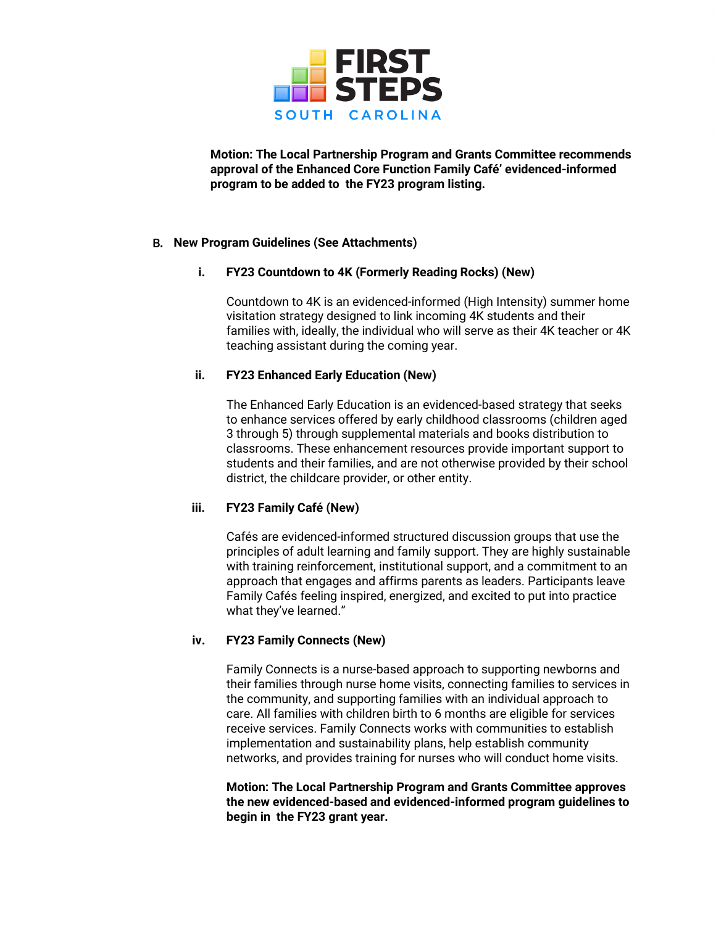

**Motion: The Local Partnership Program and Grants Committee recommends approval of the Enhanced Core Function Family Café' evidenced-informed program to be added to the FY23 program listing.**

## B. **New Program Guidelines (See Attachments)**

## **i. FY23 Countdown to 4K (Formerly Reading Rocks) (New)**

Countdown to 4K is an evidenced-informed (High Intensity) summer home visitation strategy designed to link incoming 4K students and their families with, ideally, the individual who will serve as their 4K teacher or 4K teaching assistant during the coming year.

## **ii. FY23 Enhanced Early Education (New)**

The Enhanced Early Education is an evidenced-based strategy that seeks to enhance services offered by early childhood classrooms (children aged 3 through 5) through supplemental materials and books distribution to classrooms. These enhancement resources provide important support to students and their families, and are not otherwise provided by their school district, the childcare provider, or other entity.

# **iii. FY23 Family Café (New)**

Cafés are evidenced-informed structured discussion groups that use the principles of adult learning and family support. They are highly sustainable with training reinforcement, institutional support, and a commitment to an approach that engages and affirms parents as leaders. Participants leave Family Cafés feeling inspired, energized, and excited to put into practice what they've learned."

# **iv. FY23 Family Connects (New)**

Family Connects is a nurse-based approach to supporting newborns and their families through nurse home visits, connecting families to services in the community, and supporting families with an individual approach to care. All families with children birth to 6 months are eligible for services receive services. Family Connects works with communities to establish implementation and sustainability plans, help establish community networks, and provides training for nurses who will conduct home visits.

**Motion: The Local Partnership Program and Grants Committee approves the new evidenced-based and evidenced-informed program guidelines to begin in the FY23 grant year.**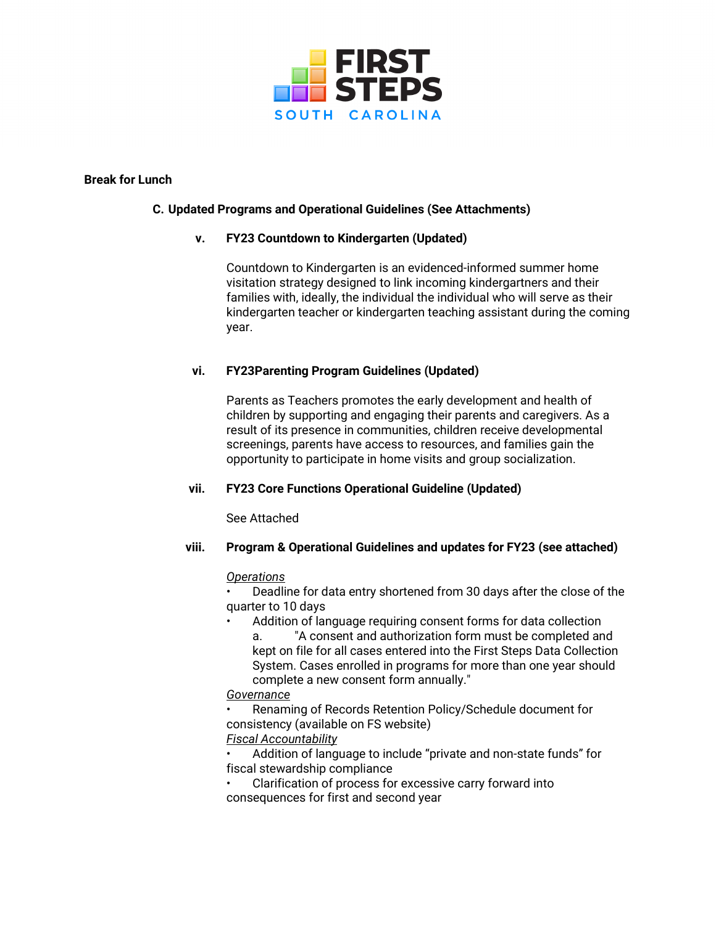

## **Break for Lunch**

## **C. Updated Programs and Operational Guidelines (See Attachments)**

## **v. FY23 Countdown to Kindergarten (Updated)**

Countdown to Kindergarten is an evidenced-informed summer home visitation strategy designed to link incoming kindergartners and their families with, ideally, the individual the individual who will serve as their kindergarten teacher or kindergarten teaching assistant during the coming year.

# **vi. FY23Parenting Program Guidelines (Updated)**

Parents as Teachers promotes the early development and health of children by supporting and engaging their parents and caregivers. As a result of its presence in communities, children receive developmental screenings, parents have access to resources, and families gain the opportunity to participate in home visits and group socialization.

# **vii. FY23 Core Functions Operational Guideline (Updated)**

See Attached

#### **viii. Program & Operational Guidelines and updates for FY23 (see attached)**

#### *Operations*

• Deadline for data entry shortened from 30 days after the close of the quarter to 10 days

Addition of language requiring consent forms for data collection a. "A consent and authorization form must be completed and kept on file for all cases entered into the First Steps Data Collection System. Cases enrolled in programs for more than one year should complete a new consent form annually."

# *Governance*

• Renaming of Records Retention Policy/Schedule document for consistency (available on FS website)

# *Fiscal Accountability*

• Addition of language to include "private and non-state funds" for fiscal stewardship compliance

• Clarification of process for excessive carry forward into consequences for first and second year